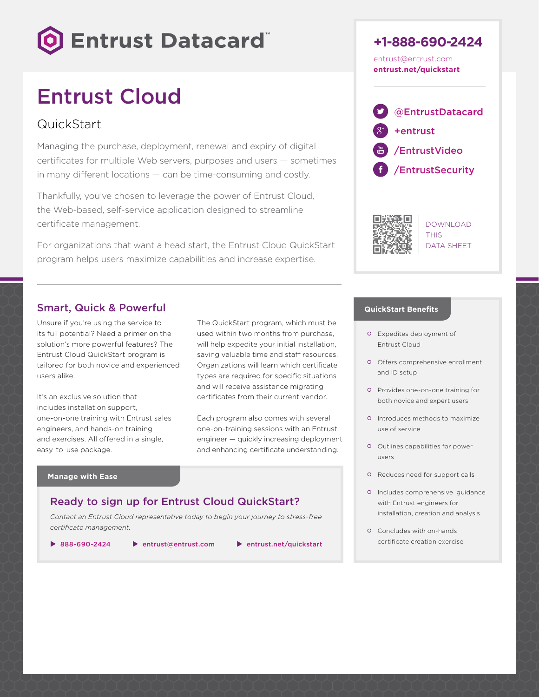

# Entrust Cloud

# QuickStart

Managing the purchase, deployment, renewal and expiry of digital certificates for multiple Web servers, purposes and users — sometimes in many different locations — can be time-consuming and costly.

Thankfully, you've chosen to leverage the power of Entrust Cloud, the Web-based, self-service application designed to streamline certificate management.

For organizations that want a head start, the Entrust Cloud QuickStart program helps users maximize capabilities and increase expertise.

## Smart, Quick & Powerful

Unsure if you're using the service to its full potential? Need a primer on the solution's more powerful features? The Entrust Cloud QuickStart program is tailored for both novice and experienced users alike.

It's an exclusive solution that includes installation support, one-on-one training with Entrust sales engineers, and hands-on training and exercises. All offered in a single, easy-to-use package.

The QuickStart program, which must be used within two months from purchase, will help expedite your initial installation, saving valuable time and staff resources. Organizations will learn which certificate types are required for specific situations and will receive assistance migrating certificates from their current vendor.

Each program also comes with several one-on-training sessions with an Entrust engineer — quickly increasing deployment and enhancing certificate understanding.

#### **Manage with Ease**

### Ready to sign up for Entrust Cloud QuickStart?

*Contact an Entrust Cloud representative today to begin your journey to stress-free certificate management.*

 $\triangleright$  888-690-2424 b [entrust@entrust.com](mailto:entrust%40entrust.com?subject=) b [entrust.net/quickstart](http://entrust.net/quickstart)

**+1-888-690-2424** [entrust@entrust.com](mailto:entrust%40entrust.com?subject=)  **[entrust.net/quickstart](http://entrust.net/quickstart)**





DOWNLOAD **THIS** DATA SHEET

#### **QuickStart Benefits**

- Expedites deployment of Entrust Cloud
- Offers comprehensive enrollment and ID setup
- Provides one-on-one training for both novice and expert users
- Introduces methods to maximize use of service
- Outlines capabilities for power users
- o Reduces need for support calls
- Includes comprehensive guidance with Entrust engineers for installation, creation and analysis
- Concludes with on-hands certificate creation exercise